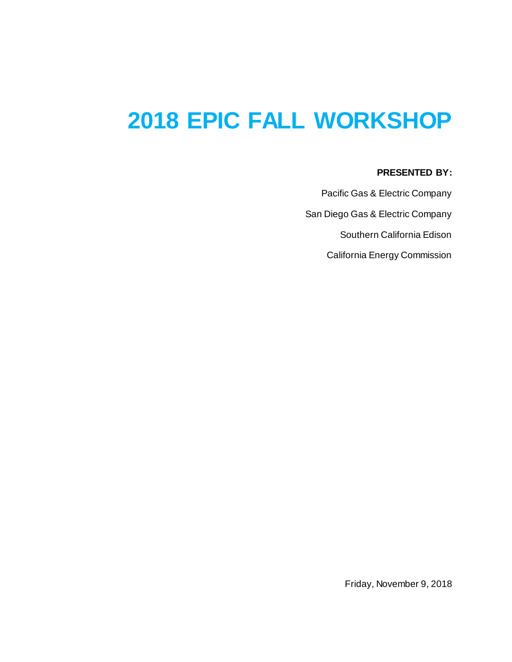# **2018 EPIC FALL WORKSHOP**

### **PRESENTED BY:**

Pacific Gas & Electric Company San Diego Gas & Electric Company Southern California Edison California Energy Commission

Friday, November 9, 2018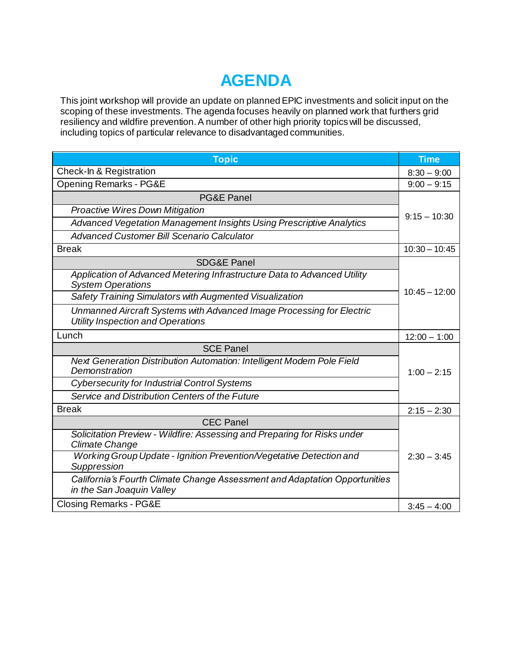## **AGENDA**

This joint workshop will provide an update on planned EPIC investments and solicit input on the scoping of these investments. The agenda focuses heavily on planned work that furthers grid resiliency and wildfire prevention. A number of other high priority topics will be discussed, including topics of particular relevance to disadvantaged communities.

| <b>Topic</b>                                                                                                      | <b>Time</b>     |
|-------------------------------------------------------------------------------------------------------------------|-----------------|
| Check-In & Registration                                                                                           | $8:30 - 9:00$   |
| <b>Opening Remarks - PG&amp;E</b>                                                                                 | $9:00 - 9:15$   |
| <b>PG&amp;E Panel</b>                                                                                             | $9:15 - 10:30$  |
| <b>Proactive Wires Down Mitigation</b>                                                                            |                 |
| Advanced Vegetation Management Insights Using Prescriptive Analytics                                              |                 |
| <b>Advanced Customer Bill Scenario Calculator</b>                                                                 |                 |
| <b>Break</b>                                                                                                      | $10:30 - 10:45$ |
| <b>SDG&amp;E Panel</b>                                                                                            | $10:45 - 12:00$ |
| Application of Advanced Metering Infrastructure Data to Advanced Utility<br><b>System Operations</b>              |                 |
| Safety Training Simulators with Augmented Visualization                                                           |                 |
| Unmanned Aircraft Systems with Advanced Image Processing for Electric<br><b>Utility Inspection and Operations</b> |                 |
| Lunch                                                                                                             | $12:00 - 1:00$  |
| <b>SCE Panel</b>                                                                                                  |                 |
| Next Generation Distribution Automation: Intelligent Modern Pole Field<br>Demonstration                           | $1:00 - 2:15$   |
| <b>Cybersecurity for Industrial Control Systems</b>                                                               |                 |
| Service and Distribution Centers of the Future                                                                    |                 |
| <b>Break</b>                                                                                                      | $2:15 - 2:30$   |
| <b>CEC Panel</b>                                                                                                  |                 |
| Solicitation Preview - Wildfire: Assessing and Preparing for Risks under<br><b>Climate Change</b>                 |                 |
| Working Group Update - Ignition Prevention/Vegetative Detection and<br>Suppression                                | $2:30 - 3:45$   |
| California's Fourth Climate Change Assessment and Adaptation Opportunities<br>in the San Joaquin Valley           |                 |
| <b>Closing Remarks - PG&amp;E</b>                                                                                 | $3:45 - 4:00$   |